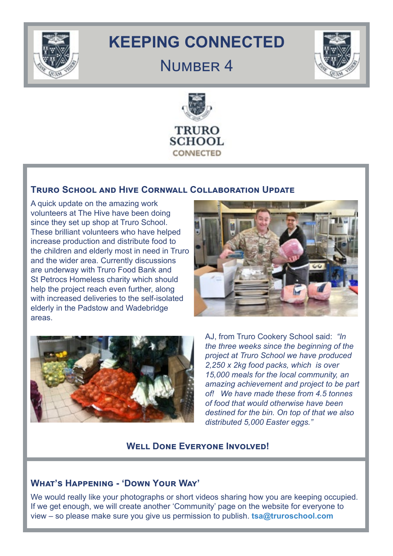

# **KEEPING CONNECTED**

## NUMBER 4





## **Truro School and Hive Cornwall Collaboration Update**

A quick update on the amazing work volunteers at The Hive have been doing since they set up shop at Truro School. These brilliant volunteers who have helped increase production and distribute food to the children and elderly most in need in Truro and the wider area. Currently discussions are underway with Truro Food Bank and St Petrocs Homeless charity which should help the project reach even further, along with increased deliveries to the self-isolated elderly in the Padstow and Wadebridge areas.





AJ, from Truro Cookery School said: *"In the three weeks since the beginning of the project at Truro School we have produced 2,250 x 2kg food packs, which is over 15,000 meals for the local community, an amazing achievement and project to be part of! We have made these from 4.5 tonnes of food that would otherwise have been destined for the bin. On top of that we also distributed 5,000 Easter eggs."* 

## **Well Done Everyone Involved!**

## **What's Happening - 'Down Your Way'**

We would really like your photographs or short videos sharing how you are keeping occupied. If we get enough, we will create another 'Community' page on the website for everyone to view – so please make sure you give us permission to publish. **tsa@truroschool.com**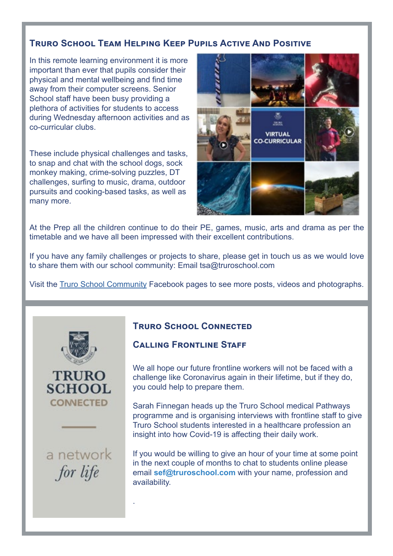## **Truro School Team Helping Keep Pupils Active And Positive**

In this remote learning environment it is more important than ever that pupils consider their physical and mental wellbeing and find time away from their computer screens. Senior School staff have been busy providing a plethora of activities for students to access during Wednesday afternoon activities and as co-curricular clubs.

These include physical challenges and tasks, to snap and chat with the school dogs, sock monkey making, crime-solving puzzles, DT challenges, surfing to music, drama, outdoor pursuits and cooking-based tasks, as well as many more.



At the Prep all the children continue to do their PE, games, music, arts and drama as per the timetable and we have all been impressed with their excellent contributions.

If you have any family challenges or projects to share, please get in touch us as we would love to share them with our school community: Email tsa@truroschool.com

Visit the [Truro School Community](https://www.facebook.com/pg/TruroSchool/posts/?ref=page_internal) Facebook pages to see more posts, videos and photographs.





a network for life

.

#### **Truro School Connected**

#### **CALLING FRONTLINE STAFF**

We all hope our future frontline workers will not be faced with a challenge like Coronavirus again in their lifetime, but if they do, you could help to prepare them.

Sarah Finnegan heads up the Truro School medical Pathways programme and is organising interviews with frontline staff to give Truro School students interested in a healthcare profession an insight into how Covid-19 is affecting their daily work.

If you would be willing to give an hour of your time at some point in the next couple of months to chat to students online please email **sef@truroschool.com** with your name, profession and availability.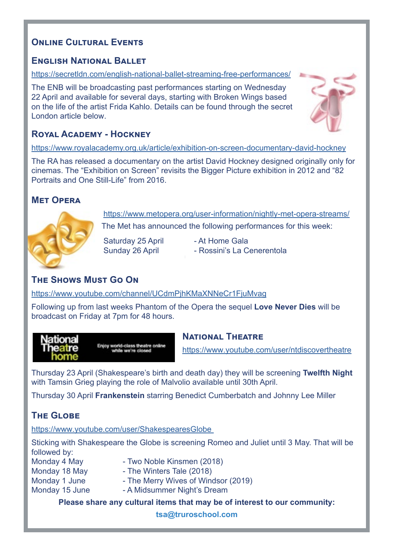## **ONLINE CULTURAL EVENTS**

## **English National Ballet**

https://secretldn.com/english-national-ballet-streaming-free-performances/

The ENB will be broadcasting past performances starting on Wednesday 22 April and available for several days, starting with Broken Wings based on the life of the artist Frida Kahlo. Details can be found through the secret London article below.



## **Royal Academy - Hockney**

https://www.royalacademy.org.uk/article/exhibition-on-screen-documentary-david-hockney

The RA has released a documentary on the artist David Hockney designed originally only for cinemas. The "Exhibition on Screen" revisits the Bigger Picture exhibition in 2012 and "82 Portraits and One Still-Life" from 2016.

## **Met Opera**



https://www.metopera.org/user-information/nightly-met-opera-streams/ The Met has announced the following performances for this week:

Saturday 25 April - At Home Gala

Sunday 26 April - Rossini's La Cenerentola

## **The Shows Must Go On**

https://www.youtube.com/channel/UCdmPjhKMaXNNeCr1FjuMvag

Following up from last weeks Phantom of the Opera the sequel **Love Never Dies** will be broadcast on Friday at 7pm for 48 hours.



Enjoy world-class theatre online

### **National Theatre**

https://www.youtube.com/user/ntdiscovertheatre

Thursday 23 April (Shakespeare's birth and death day) they will be screening **Twelfth Night** with Tamsin Grieg playing the role of Malvolio available until 30th April.

Thursday 30 April **Frankenstein** starring Benedict Cumberbatch and Johnny Lee Miller

## **The Globe**

https://www.youtube.com/user/ShakespearesGlobe

Sticking with Shakespeare the Globe is screening Romeo and Juliet until 3 May. That will be followed by:

- Monday 4 May - Two Noble Kinsmen (2018)
- Monday 18 May  **The Winters Tale (2018)**
- Monday 1 June  **The Merry Wives of Windsor (2019)**
- Monday 15 June  **A Midsummer Night's Dream**

**[Please share any cultural items that may be of interest to our community:](http://Please share with us any items that may be of interest to our community.)** 

**tsa@truroschool.com**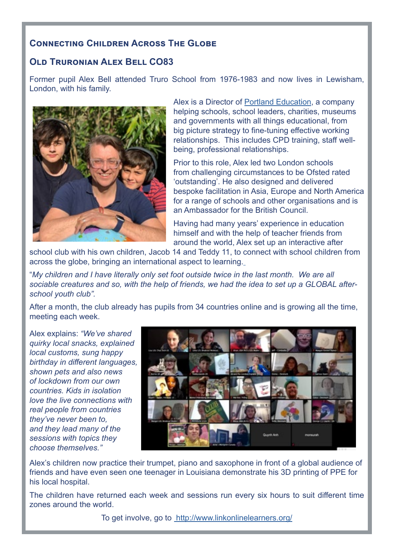## **Connecting Children Across The Globe**

## **Old Truronian Alex Bell CO83**

Former pupil Alex Bell attended Truro School from 1976-1983 and now lives in Lewisham, London, with his family.



Alex is a Director of [Portland Education,](https://www.portlandeducation.co.uk/) a company helping schools, school leaders, charities, museums and governments with all things educational, from big picture strategy to fine-tuning effective working relationships. This includes CPD training, staff wellbeing, professional relationships.

Prior to this role, Alex led two London schools from challenging circumstances to be Ofsted rated 'outstanding'. He also designed and delivered bespoke facilitation in Asia, Europe and North America for a range of schools and other organisations and is an Ambassador for the British Council.

Having had many years' experience in education himself and with the help of teacher friends from around the world, Alex set up an interactive after

school club with his own children, Jacob 14 and Teddy 11, to [c](https://www.linkonlinelearners.org/)onnect with school children from across the globe, bringing an international aspect to learning.

"*My children and I have literally only set foot outside twice in the last month. We are all sociable creatures and so, with the help of friends, we had the idea to set up a GLOBAL afterschool youth club".*

After a month, the club already has pupils from 34 countries online and is growing all the time, meeting each week.

Alex explains: *"We've shared quirky local snacks, explained local customs, sung happy birthday in different languages, shown pets and also news of lockdown from our own countries. Kids in isolation love the live connections with real people from countries they've never been to, and they lead many of the sessions with topics they choose themselves."*



Alex's children now practice their trumpet, piano and saxophone in front of a global audience of friends and have even seen one teenager in Louisiana demonstrate his 3D printing of PPE for his local hospital.

The children have returned each week and sessions run every six hours to suit different time zones around the world.

To get involve, go to http://www.linkonlinelearners.org/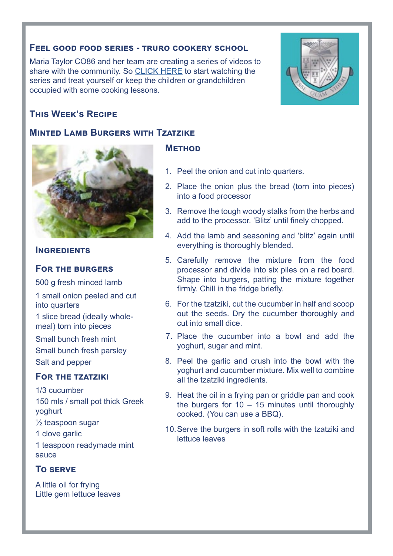#### **Feel good food series - truro cookery school**

Maria Taylor CO86 and her team are creating a series of videos to share with the community. So [CLICK HERE](https://www.facebook.com/pg/truroschoolcookery/videos/?ref=page_internal) to start watching the series and treat yourself or keep the children or grandchildren occupied with some cooking lessons.



#### **Minted Lamb Burgers with Tzatzike**



#### **INGREDIENTS**

#### **For the burgers**

500 g fresh minced lamb

1 small onion peeled and cut into quarters

1 slice bread (ideally wholemeal) torn into pieces

Small bunch fresh mint Small bunch fresh parsley Salt and pepper

## **For the tzatziki**

1/3 cucumber 150 mls / small pot thick Greek yoghurt ½ teaspoon sugar 1 clove garlic 1 teaspoon readymade mint sauce

#### **To serve**

A little oil for frying Little gem lettuce leaves

#### **Method**

- 1. Peel the onion and cut into quarters.
- 2. Place the onion plus the bread (torn into pieces) into a food processor
- 3. Remove the tough woody stalks from the herbs and add to the processor. 'Blitz' until finely chopped.
- 4. Add the lamb and seasoning and 'blitz' again until everything is thoroughly blended.
- 5. Carefully remove the mixture from the food processor and divide into six piles on a red board. Shape into burgers, patting the mixture together firmly. Chill in the fridge briefly.
- 6. For the tzatziki, cut the cucumber in half and scoop out the seeds. Dry the cucumber thoroughly and cut into small dice.
- 7. Place the cucumber into a bowl and add the yoghurt, sugar and mint.
- 8. Peel the garlic and crush into the bowl with the yoghurt and cucumber mixture. Mix well to combine all the tzatziki ingredients.
- 9. Heat the oil in a frying pan or griddle pan and cook the burgers for  $10 - 15$  minutes until thoroughly cooked. (You can use a BBQ).
- 10.Serve the burgers in soft rolls with the tzatziki and lettuce leaves